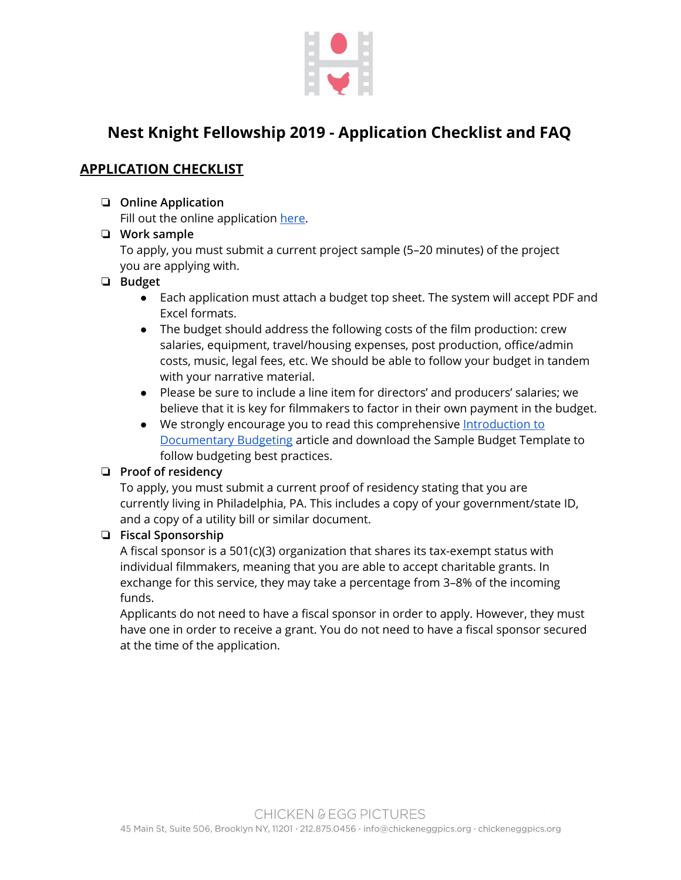

# **Nest Knight Fellowship 2019 - Application Checklist and FAQ**

# **APPLICATION CHECKLIST**

#### ❏ **Online Application**

Fill out the online application [here](https://chickenandeggpics.secure.force.com/NKFpreApplicationForm).

❏ **Work sample** To apply, you must submit a current project sample (5–20 minutes) of the project you are applying with.

#### ❏ **Budget**

- Each application must attach a budget top sheet. The system will accept PDF and Excel formats.
- The budget should address the following costs of the film production: crew salaries, equipment, travel/housing expenses, post production, office/admin costs, music, legal fees, etc. We should be able to follow your budget in tandem with your narrative material.
- Please be sure to include a line item for directors' and producers' salaries; we believe that it is key for filmmakers to factor in their own payment in the budget.
- We strongly encourage you to read this comprehensive [Introduction to](https://www.documentary.org/feature/dont-fudge-your-budget-toeing-line-items) [Documentary Budgeting](https://www.documentary.org/feature/dont-fudge-your-budget-toeing-line-items) article and download the Sample Budget Template to follow budgeting best practices.

# ❏ **Proof of residency**

To apply, you must submit a current proof of residency stating that you are currently living in Philadelphia, PA. This includes a copy of your government/state ID, and a copy of a utility bill or similar document.

# ❏ **Fiscal Sponsorship**

A fiscal sponsor is a 501(c)(3) organization that shares its tax-exempt status with individual filmmakers, meaning that you are able to accept charitable grants. In exchange for this service, they may take a percentage from 3–8% of the incoming funds.

Applicants do not need to have a fiscal sponsor in order to apply. However, they must have one in order to receive a grant. You do not need to have a fiscal sponsor secured at the time of the application.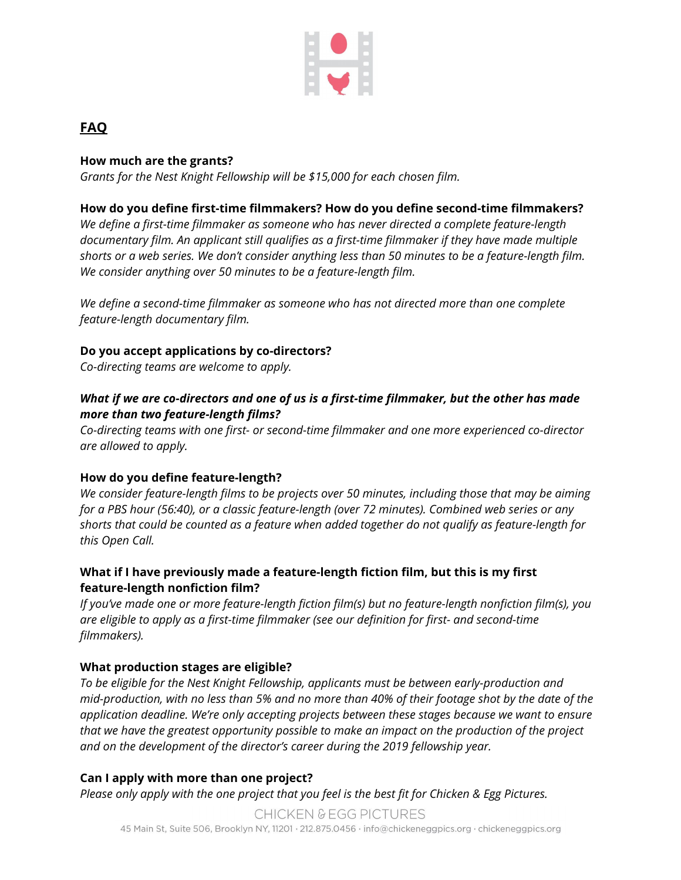

# **FAQ**

#### **How much are the grants?**

*Grants for the Nest Knight Fellowship will be \$15,000 for each chosen film.*

#### **How do you define first-time filmmakers? How do you define second-time filmmakers?**

*We define a first-time filmmaker as someone who has never directed a complete feature-length documentary film. An applicant still qualifies as a first-time filmmaker if they have made multiple shorts or a web series. We don't consider anything less than 50 minutes to be a feature-length film. We consider anything over 50 minutes to be a feature-length film.*

*We define a second-time filmmaker as someone who has not directed more than one complete feature-length documentary film.*

#### **Do you accept applications by co-directors?**

*Co-directing teams are welcome to apply.*

#### *What if we are co-directors and one of us is a first-time filmmaker, but the other has made more than two feature-length films?*

*Co-directing teams with one first- or second-time filmmaker and one more experienced co-director are allowed to apply.*

#### **How do you define feature-length?**

*We consider feature-length films to be projects over 50 minutes, including those that may be aiming for a PBS hour (56:40), or a classic feature-length (over 72 minutes). Combined web series or any shorts that could be counted as a feature when added together do not qualify as feature-length for this Open Call.*

#### **What if I have previously made a feature-length fiction film, but this is my first feature-length nonfiction film?**

*If you've made one or more feature-length fiction film(s) but no feature-length nonfiction film(s), you are eligible to apply as a first-time filmmaker (see our definition for first- and second-time filmmakers).*

# **What production stages are eligible?**

*To be eligible for the Nest Knight Fellowship, applicants must be between early-production and mid-production, with no less than 5% and no more than 40% of their footage shot by the date of the application deadline. We're only accepting projects between these stages because we want to ensure that we have the greatest opportunity possible to make an impact on the production of the project and on the development of the director's career during the 2019 fellowship year.*

# **Can I apply with more than one project?**

*Please only apply with the one project that you feel is the best fit for Chicken & Egg Pictures.*